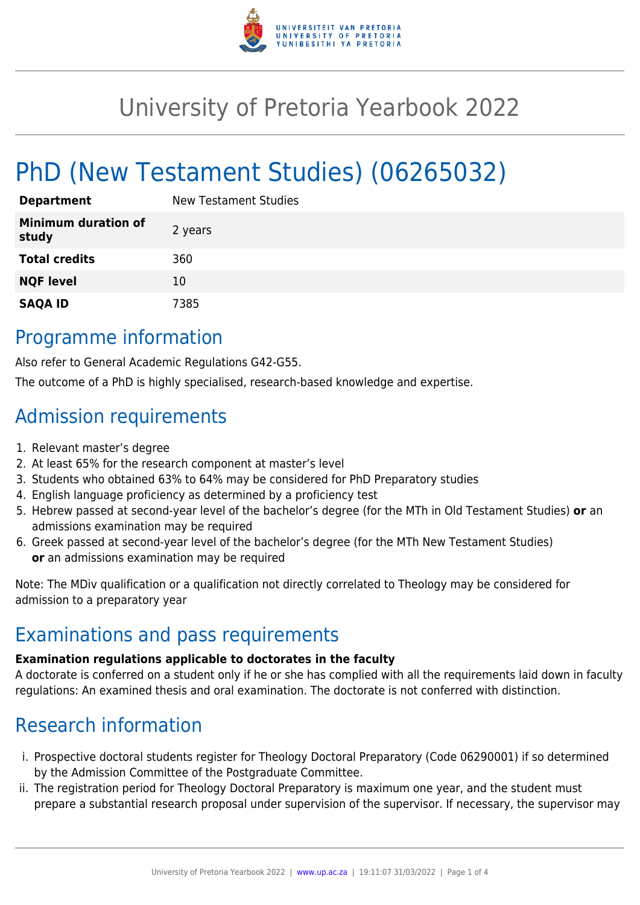

# University of Pretoria Yearbook 2022

# PhD (New Testament Studies) (06265032)

| <b>Department</b>                   | New Testament Studies |
|-------------------------------------|-----------------------|
| <b>Minimum duration of</b><br>study | 2 years               |
| <b>Total credits</b>                | 360                   |
| <b>NQF level</b>                    | 10                    |
| <b>SAQA ID</b>                      | 7385                  |

### Programme information

Also refer to General Academic Regulations G42-G55.

The outcome of a PhD is highly specialised, research-based knowledge and expertise.

## Admission requirements

- 1. Relevant master's degree
- 2. At least 65% for the research component at master's level
- 3. Students who obtained 63% to 64% may be considered for PhD Preparatory studies
- 4. English language proficiency as determined by a proficiency test
- 5. Hebrew passed at second-year level of the bachelor's degree (for the MTh in Old Testament Studies) **or** an admissions examination may be required
- 6. Greek passed at second-year level of the bachelor's degree (for the MTh New Testament Studies) **or** an admissions examination may be required

Note: The MDiv qualification or a qualification not directly correlated to Theology may be considered for admission to a preparatory year

### Examinations and pass requirements

#### **Examination regulations applicable to doctorates in the faculty**

A doctorate is conferred on a student only if he or she has complied with all the requirements laid down in faculty regulations: An examined thesis and oral examination. The doctorate is not conferred with distinction.

# Research information

- i. Prospective doctoral students register for Theology Doctoral Preparatory (Code 06290001) if so determined by the Admission Committee of the Postgraduate Committee.
- ii. The registration period for Theology Doctoral Preparatory is maximum one year, and the student must prepare a substantial research proposal under supervision of the supervisor. If necessary, the supervisor may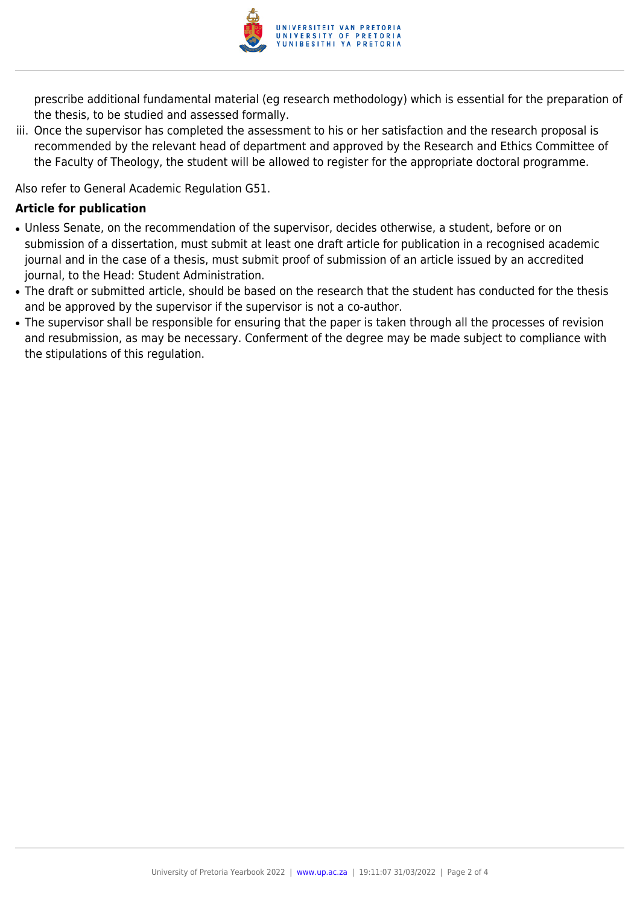

prescribe additional fundamental material (eg research methodology) which is essential for the preparation of the thesis, to be studied and assessed formally.

iii. Once the supervisor has completed the assessment to his or her satisfaction and the research proposal is recommended by the relevant head of department and approved by the Research and Ethics Committee of the Faculty of Theology, the student will be allowed to register for the appropriate doctoral programme.

Also refer to General Academic Regulation G51.

#### **Article for publication**

- Unless Senate, on the recommendation of the supervisor, decides otherwise, a student, before or on submission of a dissertation, must submit at least one draft article for publication in a recognised academic journal and in the case of a thesis, must submit proof of submission of an article issued by an accredited journal, to the Head: Student Administration.
- The draft or submitted article, should be based on the research that the student has conducted for the thesis and be approved by the supervisor if the supervisor is not a co-author.
- The supervisor shall be responsible for ensuring that the paper is taken through all the processes of revision and resubmission, as may be necessary. Conferment of the degree may be made subject to compliance with the stipulations of this regulation.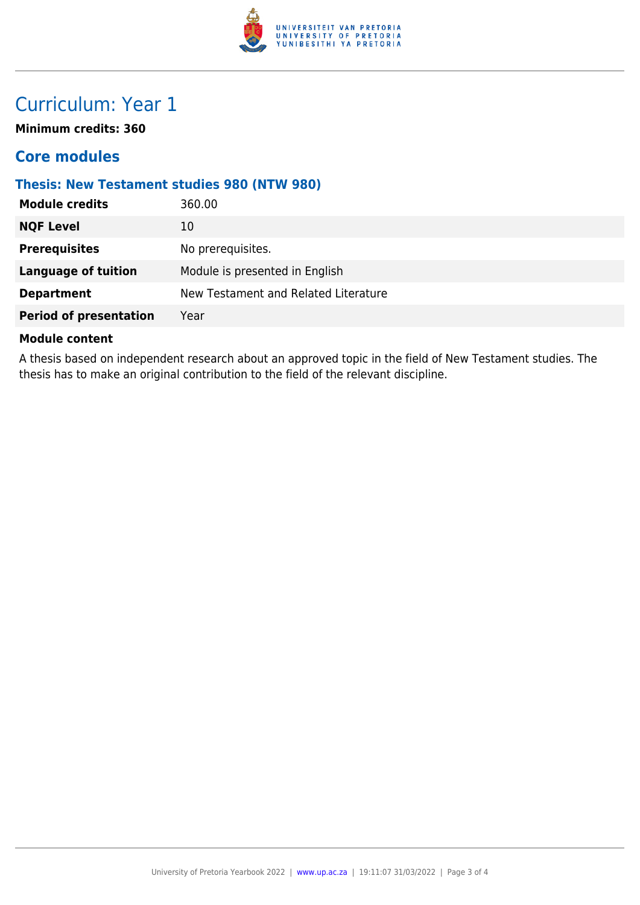

## Curriculum: Year 1

**Minimum credits: 360**

### **Core modules**

#### **Thesis: New Testament studies 980 (NTW 980)**

| <b>Module credits</b>         | 360.00                               |
|-------------------------------|--------------------------------------|
| <b>NQF Level</b><br>10        |                                      |
| <b>Prerequisites</b>          | No prerequisites.                    |
| <b>Language of tuition</b>    | Module is presented in English       |
| <b>Department</b>             | New Testament and Related Literature |
| <b>Period of presentation</b> | Year                                 |

#### **Module content**

A thesis based on independent research about an approved topic in the field of New Testament studies. The thesis has to make an original contribution to the field of the relevant discipline.